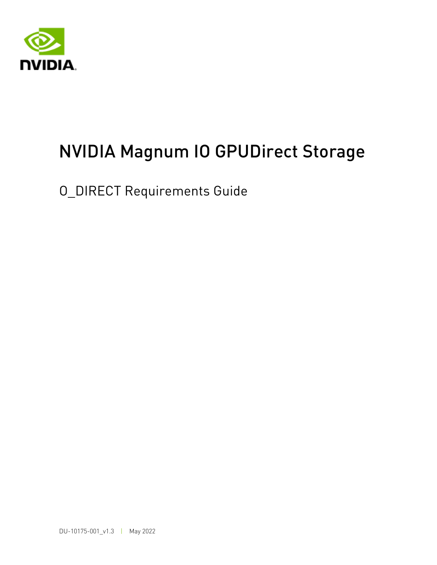

# NVIDIA Magnum IO GPUDirect Storage

O\_DIRECT Requirements Guide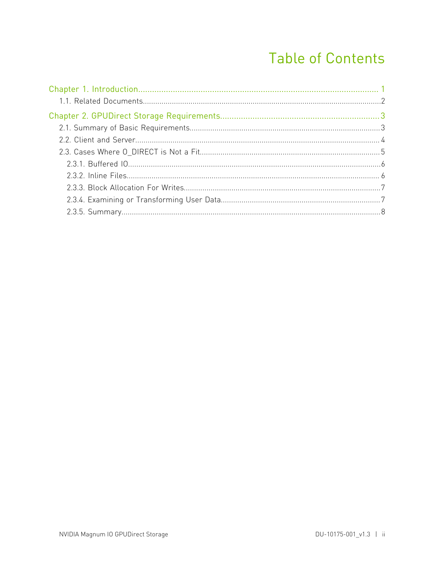## **Table of Contents**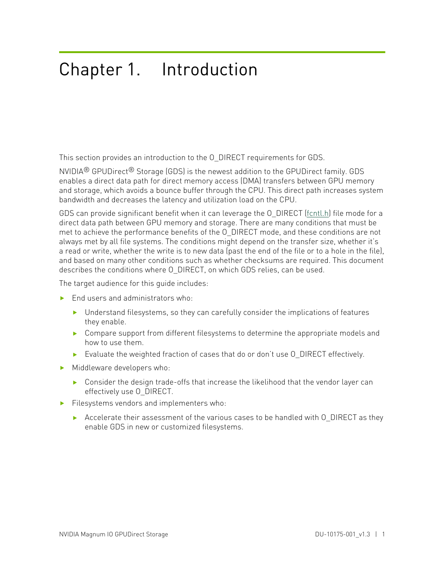# <span id="page-2-0"></span>Chapter 1. Introduction

This section provides an introduction to the O\_DIRECT requirements for GDS.

NVIDIA® GPUDirect® Storage (GDS) is the newest addition to the GPUDirect family. GDS enables a direct data path for direct memory access (DMA) transfers between GPU memory and storage, which avoids a bounce buffer through the CPU. This direct path increases system bandwidth and decreases the latency and utilization load on the CPU.

GDS can provide significant benefit when it can leverage the O\_DIRECT [\(fcntl.h\)](https://github.com/torvalds/linux/blob/master/include/uapi/asm-generic/fcntl.h) file mode for a direct data path between GPU memory and storage. There are many conditions that must be met to achieve the performance benefits of the O\_DIRECT mode, and these conditions are not always met by all file systems. The conditions might depend on the transfer size, whether it's a read or write, whether the write is to new data (past the end of the file or to a hole in the file), and based on many other conditions such as whether checksums are required. This document describes the conditions where O\_DIRECT, on which GDS relies, can be used.

The target audience for this guide includes:

- **‣** End users and administrators who:
	- **‣** Understand filesystems, so they can carefully consider the implications of features they enable.
	- ▶ Compare support from different filesystems to determine the appropriate models and how to use them.
	- **‣** Evaluate the weighted fraction of cases that do or don't use O\_DIRECT effectively.
- **‣** Middleware developers who:
	- **‣** Consider the design trade-offs that increase the likelihood that the vendor layer can effectively use O\_DIRECT.
- **‣** Filesystems vendors and implementers who:
	- ▶ Accelerate their assessment of the various cases to be handled with O\_DIRECT as they enable GDS in new or customized filesystems.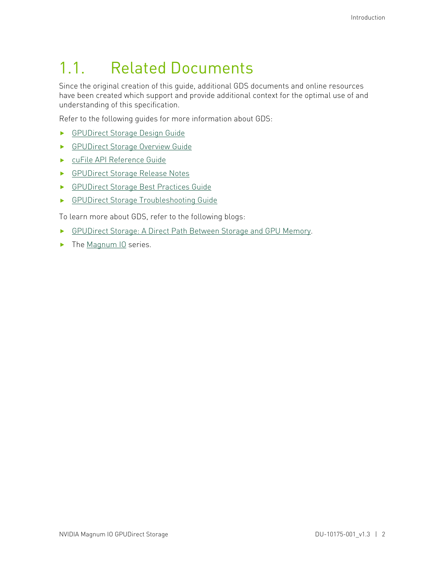# <span id="page-3-0"></span>1.1. Related Documents

Since the original creation of this guide, additional GDS documents and online resources have been created which support and provide additional context for the optimal use of and understanding of this specification.

Refer to the following guides for more information about GDS:

- **‣** [GPUDirect Storage Design Guide](https://docs.nvidia.com/gpudirect-storage/design-guide/index.html)
- **‣** [GPUDirect Storage Overview Guide](https://docs.nvidia.com/gpudirect-storage/overview-guide/index.html)
- **‣** [cuFile API Reference Guide](https://docs.nvidia.com/gpudirect-storage/api-reference-guide/index.html)
- **‣** [GPUDirect Storage Release Notes](https://docs.nvidia.com/gpudirect-storage/release-notes/index.html)
- **‣** [GPUDirect Storage Best Practices Guide](https://docs.nvidia.com/gpudirect-storage/best-practices-guide/index.html)
- **‣** [GPUDirect Storage Troubleshooting Guide](https://docs.nvidia.com/gpudirect-storage/troubleshooting-guide/index.html)

To learn more about GDS, refer to the following blogs:

- **‣** [GPUDirect Storage: A Direct Path Between Storage and GPU Memory](https://devblogs.nvidia.com/gpudirect-storage/).
- **‣** The [Magnum IO](https://developer.nvidia.com/blog/tag/magnum-io/) series.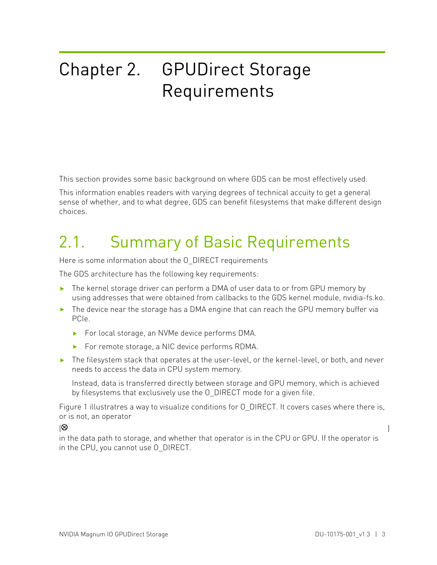# <span id="page-4-0"></span>Chapter 2. GPUDirect Storage Requirements

This section provides some basic background on where GDS can be most effectively used.

This information enables readers with varying degrees of technical accuity to get a general sense of whether, and to what degree, GDS can benefit filesystems that make different design choices.

# <span id="page-4-1"></span>2.1. Summary of Basic Requirements

Here is some information about the O\_DIRECT requirements

The GDS architecture has the following key requirements:

- **‣** The kernel storage driver can perform a DMA of user data to or from GPU memory by using addresses that were obtained from callbacks to the GDS kernel module, nvidia-fs.ko.
- **‣** The device near the storage has a DMA engine that can reach the GPU memory buffer via PCIe.
	- **‣** For local storage, an NVMe device performs DMA.
	- **‣** For remote storage, a NIC device performs RDMA.
- **‣** The filesystem stack that operates at the user-level, or the kernel-level, or both, and never needs to access the data in CPU system memory.

Instead, data is transferred directly between storage and GPU memory, which is achieved by filesystems that exclusively use the O\_DIRECT mode for a given file.

Figure 1 illustratres a way to visualize conditions for O\_DIRECT. It covers cases where there is, or is not, an operator

 $\infty$  ) and the contract of  $\infty$  in the contract of  $\infty$ 

in the data path to storage, and whether that operator is in the CPU or GPU. If the operator is in the CPU, you cannot use O\_DIRECT.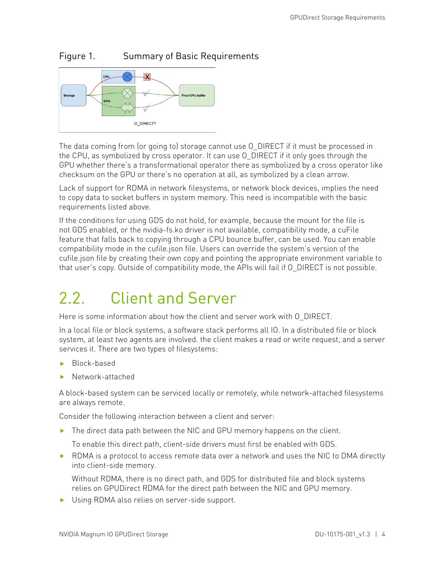### Figure 1. Summary of Basic Requirements



The data coming from (or going to) storage cannot use O\_DIRECT if it must be processed in the CPU, as symbolized by cross operator. It can use O\_DIRECT if it only goes through the GPU whether there's a transformational operator there as symbolized by a cross operator like checksum on the GPU or there's no operation at all, as symbolized by a clean arrow.

Lack of support for RDMA in network filesystems, or network block devices, implies the need to copy data to socket buffers in system memory. This need is incompatible with the basic requirements listed above.

If the conditions for using GDS do not hold, for example, because the mount for the file is not GDS enabled, or the nvidia-fs.ko driver is not available, compatibility mode, a cuFile feature that falls back to copying through a CPU bounce buffer, can be used. You can enable compatibility mode in the cufile.json file. Users can override the system's version of the cufile.json file by creating their own copy and pointing the appropriate environment variable to that user's copy. Outside of compatibility mode, the APIs will fail if O\_DIRECT is not possible.

# <span id="page-5-0"></span>2.2. Client and Server

Here is some information about how the client and server work with O\_DIRECT.

In a local file or block systems, a software stack performs all IO. In a distributed file or block system, at least two agents are involved. the client makes a read or write request, and a server services it. There are two types of filesystems:

- **‣** Block-based
- **‣** Network-attached

A block-based system can be serviced locally or remotely, while network-attached filesystems are always remote.

Consider the following interaction between a client and server:

**‣** The direct data path between the NIC and GPU memory happens on the client.

To enable this direct path, client-side drivers must first be enabled with GDS.

▶ RDMA is a protocol to access remote data over a network and uses the NIC to DMA directly into client-side memory.

Without RDMA, there is no direct path, and GDS for distributed file and block systems relies on GPUDirect RDMA for the direct path between the NIC and GPU memory.

**‣** Using RDMA also relies on server-side support.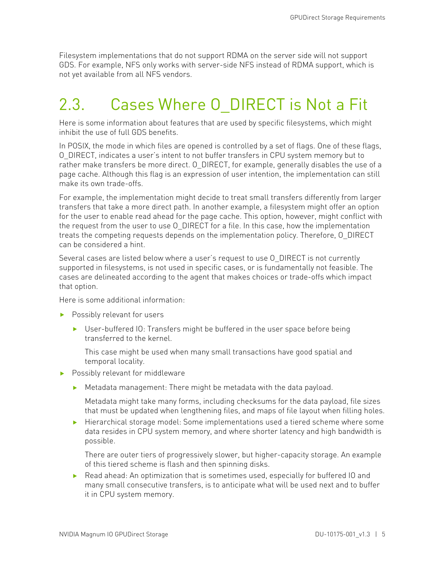Filesystem implementations that do not support RDMA on the server side will not support GDS. For example, NFS only works with server-side NFS instead of RDMA support, which is not yet available from all NFS vendors.

## <span id="page-6-0"></span>2.3. Cases Where O\_DIRECT is Not a Fit

Here is some information about features that are used by specific filesystems, which might inhibit the use of full GDS benefits.

In POSIX, the mode in which files are opened is controlled by a set of flags. One of these flags, O\_DIRECT, indicates a user's intent to not buffer transfers in CPU system memory but to rather make transfers be more direct. O\_DIRECT, for example, generally disables the use of a page cache. Although this flag is an expression of user intention, the implementation can still make its own trade-offs.

For example, the implementation might decide to treat small transfers differently from larger transfers that take a more direct path. In another example, a filesystem might offer an option for the user to enable read ahead for the page cache. This option, however, might conflict with the request from the user to use O\_DIRECT for a file. In this case, how the implementation treats the competing requests depends on the implementation policy. Therefore, O\_DIRECT can be considered a hint.

Several cases are listed below where a user's request to use O\_DIRECT is not currently supported in filesystems, is not used in specific cases, or is fundamentally not feasible. The cases are delineated according to the agent that makes choices or trade-offs which impact that option.

Here is some additional information:

- **‣** Possibly relevant for users
	- **‣** User-buffered IO: Transfers might be buffered in the user space before being transferred to the kernel.

This case might be used when many small transactions have good spatial and temporal locality.

- **‣** Possibly relevant for middleware
	- **‣** Metadata management: There might be metadata with the data payload.

Metadata might take many forms, including checksums for the data payload, file sizes that must be updated when lengthening files, and maps of file layout when filling holes.

**‣** Hierarchical storage model: Some implementations used a tiered scheme where some data resides in CPU system memory, and where shorter latency and high bandwidth is possible.

There are outer tiers of progressively slower, but higher-capacity storage. An example of this tiered scheme is flash and then spinning disks.

▶ Read ahead: An optimization that is sometimes used, especially for buffered IO and many small consecutive transfers, is to anticipate what will be used next and to buffer it in CPU system memory.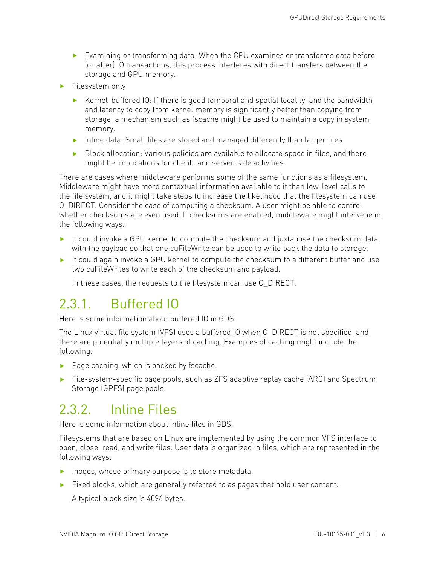- **‣** Examining or transforming data: When the CPU examines or transforms data before (or after) IO transactions, this process interferes with direct transfers between the storage and GPU memory.
- **‣** Filesystem only
	- **‣** Kernel-buffered IO: If there is good temporal and spatial locality, and the bandwidth and latency to copy from kernel memory is significantly better than copying from storage, a mechanism such as fscache might be used to maintain a copy in system memory.
	- **‣** Inline data: Small files are stored and managed differently than larger files.
	- **‣** Block allocation: Various policies are available to allocate space in files, and there might be implications for client- and server-side activities.

There are cases where middleware performs some of the same functions as a filesystem. Middleware might have more contextual information available to it than low-level calls to the file system, and it might take steps to increase the likelihood that the filesystem can use O\_DIRECT. Consider the case of computing a checksum. A user might be able to control whether checksums are even used. If checksums are enabled, middleware might intervene in the following ways:

- **‣** It could invoke a GPU kernel to compute the checksum and juxtapose the checksum data with the payload so that one cuFileWrite can be used to write back the data to storage.
- **‣** It could again invoke a GPU kernel to compute the checksum to a different buffer and use two cuFileWrites to write each of the checksum and payload.

<span id="page-7-0"></span>In these cases, the requests to the filesystem can use O\_DIRECT.

## 2.3.1. Buffered IO

Here is some information about buffered IO in GDS.

The Linux virtual file system (VFS) uses a buffered IO when O\_DIRECT is not specified, and there are potentially multiple layers of caching. Examples of caching might include the following:

- **‣** Page caching, which is backed by fscache.
- **‣** File-system-specific page pools, such as ZFS adaptive replay cache (ARC) and Spectrum Storage (GPFS) page pools.

## <span id="page-7-1"></span>2.3.2. Inline Files

Here is some information about inline files in GDS.

Filesystems that are based on Linux are implemented by using the common VFS interface to open, close, read, and write files. User data is organized in files, which are represented in the following ways:

- **‣** Inodes, whose primary purpose is to store metadata.
- **‣** Fixed blocks, which are generally referred to as pages that hold user content.

A typical block size is 4096 bytes.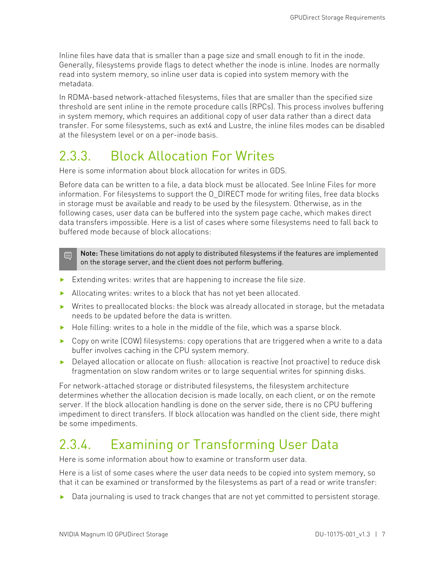Inline files have data that is smaller than a page size and small enough to fit in the inode. Generally, filesystems provide flags to detect whether the inode is inline. Inodes are normally read into system memory, so inline user data is copied into system memory with the metadata.

In RDMA-based network-attached filesystems, files that are smaller than the specified size threshold are sent inline in the remote procedure calls (RPCs). This process involves buffering in system memory, which requires an additional copy of user data rather than a direct data transfer. For some filesystems, such as ext4 and Lustre, the inline files modes can be disabled at the filesystem level or on a per-inode basis.

## <span id="page-8-0"></span>2.3.3. Block Allocation For Writes

Here is some information about block allocation for writes in GDS.

Before data can be written to a file, a data block must be allocated. See Inline Files for more information. For filesystems to support the O\_DIRECT mode for writing files, free data blocks in storage must be available and ready to be used by the filesystem. Otherwise, as in the following cases, user data can be buffered into the system page cache, which makes direct data transfers impossible. Here is a list of cases where some filesystems need to fall back to buffered mode because of block allocations:

Note: These limitations do not apply to distributed filesystems if the features are implemented 目 on the storage server, and the client does not perform buffering.

- **‣** Extending writes: writes that are happening to increase the file size.
- **‣** Allocating writes: writes to a block that has not yet been allocated.
- **‣** Writes to preallocated blocks: the block was already allocated in storage, but the metadata needs to be updated before the data is written.
- ► Hole filling: writes to a hole in the middle of the file, which was a sparse block.
- ▶ Copy on write (COW) filesystems: copy operations that are triggered when a write to a data buffer involves caching in the CPU system memory.
- ▶ Delayed allocation or allocate on flush: allocation is reactive (not proactive) to reduce disk fragmentation on slow random writes or to large sequential writes for spinning disks.

For network-attached storage or distributed filesystems, the filesystem architecture determines whether the allocation decision is made locally, on each client, or on the remote server. If the block allocation handling is done on the server side, there is no CPU buffering impediment to direct transfers. If block allocation was handled on the client side, there might be some impediments.

## <span id="page-8-1"></span>2.3.4. Examining or Transforming User Data

Here is some information about how to examine or transform user data.

Here is a list of some cases where the user data needs to be copied into system memory, so that it can be examined or transformed by the filesystems as part of a read or write transfer:

**‣** Data journaling is used to track changes that are not yet committed to persistent storage.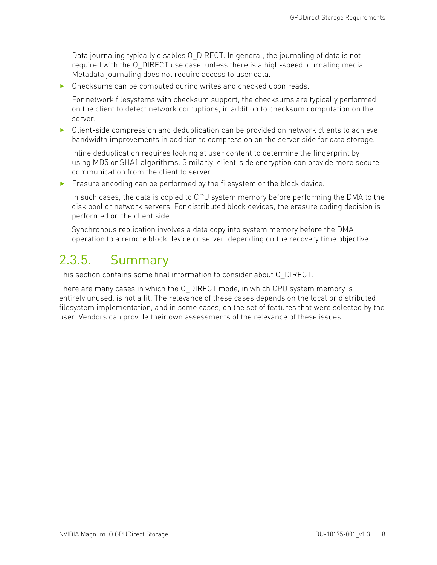Data journaling typically disables O\_DIRECT. In general, the journaling of data is not required with the O\_DIRECT use case, unless there is a high-speed journaling media. Metadata journaling does not require access to user data.

**‣** Checksums can be computed during writes and checked upon reads.

For network filesystems with checksum support, the checksums are typically performed on the client to detect network corruptions, in addition to checksum computation on the server.

**‣** Client-side compression and deduplication can be provided on network clients to achieve bandwidth improvements in addition to compression on the server side for data storage.

Inline deduplication requires looking at user content to determine the fingerprint by using MD5 or SHA1 algorithms. Similarly, client-side encryption can provide more secure communication from the client to server.

**‣** Erasure encoding can be performed by the filesystem or the block device.

In such cases, the data is copied to CPU system memory before performing the DMA to the disk pool or network servers. For distributed block devices, the erasure coding decision is performed on the client side.

<span id="page-9-0"></span>Synchronous replication involves a data copy into system memory before the DMA operation to a remote block device or server, depending on the recovery time objective.

## 2.3.5. Summary

This section contains some final information to consider about O\_DIRECT.

There are many cases in which the O\_DIRECT mode, in which CPU system memory is entirely unused, is not a fit. The relevance of these cases depends on the local or distributed filesystem implementation, and in some cases, on the set of features that were selected by the user. Vendors can provide their own assessments of the relevance of these issues.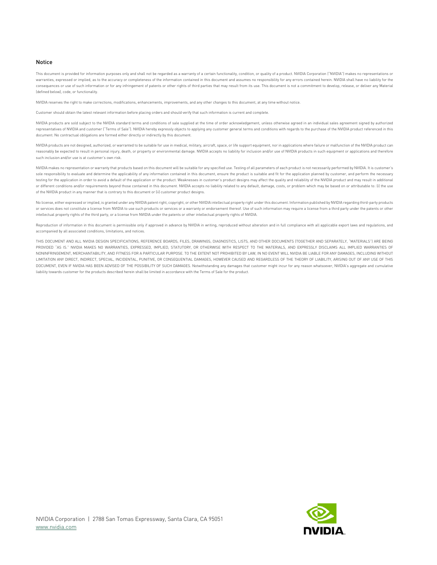#### Notice

This document is provided for information purposes only and shall not be regarded as a warranty of a certain functionality, condition, or quality of a product. NVIDIA Corporation ("NVIDIA") makes no representations or warranties, expressed or implied, as to the accuracy or completeness of the information contained in this document and assumes no responsibility for any errors contained herein. NVIDIA shall have no liability for the consequences or use of such information or for any infringement of patents or other rights of third parties that may result from its use. This document is not a commitment to develop, release, or deliver any Material (defined below), code, or functionality.

NVIDIA reserves the right to make corrections, modifications, enhancements, improvements, and any other changes to this document, at any time without notice.

Customer should obtain the latest relevant information before placing orders and should verify that such information is current and complete.

NVIDIA products are sold subject to the NVIDIA standard terms and conditions of sale supplied at the time of order acknowledgement, unless otherwise agreed in an individual sales agreement signed by authorized representatives of NVIDIA and customer ("Terms of Sale"). NVIDIA hereby expressly objects to applying any customer general terms and conditions with regards to the purchase of the NVIDIA product referenced in this document. No contractual obligations are formed either directly or indirectly by this document.

NVIDIA products are not designed, authorized, or warranted to be suitable for use in medical, military, aircraft, space, or life support equipment, nor in applications where failure or malfunction of the NVIDIA product can reasonably be expected to result in personal injury, death, or property or environmental damage. NVIDIA accepts no liability for inclusion and/or use of NVIDIA products in such equipment or applications and therefore such inclusion and/or use is at customer's own risk.

NVIDIA makes no representation or warranty that products based on this document will be suitable for any specified use. Testing of all parameters of each product is not necessarily performed by NVIDIA. It is customer's sole responsibility to evaluate and determine the applicability of any information contained in this document, ensure the product is suitable and fit for the application planned by customer, and perform the necessary testing for the application in order to avoid a default of the application or the product. Weaknesses in customer's product designs may affect the quality and reliability of the NVIDIA product and may result in additional or different conditions and/or requirements beyond those contained in this document. NVIDIA accepts no liability related to any default, damage, costs, or problem which may be based on or attributable to: (i) the use of the NVIDIA product in any manner that is contrary to this document or (ii) customer product designs.

No license, either expressed or implied, is granted under any NVIDIA patent right, copyright, or other NVIDIA intellectual property right under this document. Information published by NVIDIA regarding third-party products or services does not constitute a license from NVIDIA to use such products or services or a warranty or endorsement thereof. Use of such information may require a license from a third party under the patents or other intellectual property rights of the third party, or a license from NVIDIA under the patents or other intellectual property rights of NVIDIA.

Reproduction of information in this document is permissible only if approved in advance by NVIDIA in writing, reproduced without alteration and in full compliance with all applicable export laws and regulations, and accompanied by all associated conditions, limitations, and notices.

THIS DOCUMENT AND ALL NVIDIA DESIGN SPECIFICATIONS, REFERENCE BOARDS, FILES, DRAWINGS, DIAGNOSTICS, LISTS, AND OTHER DOCUMENTS (TOGETHER AND SEPARATELY, "MATERIALS") ARE BEING PROVIDED "AS IS." NVIDIA MAKES NO WARRANTIES, EXPRESSED, IMPLIED, STATUTORY, OR OTHERWISE WITH RESPECT TO THE MATERIALS, AND EXPRESSLY DISCLAIMS ALL IMPLIED WARRANTIES OF NONINFRINGEMENT, MERCHANTABILITY, AND FITNESS FOR A PARTICULAR PURPOSE. TO THE EXTENT NOT PROHIBITED BY LAW, IN NO EVENT WILL NVIDIA BE LIABLE FOR ANY DAMAGES, INCLUDING WITHOUT LIMITATION ANY DIRECT, INDIRECT, SPECIAL, INCIDENTAL, PUNITIVE, OR CONSEQUENTIAL DAMAGES, HOWEVER CAUSED AND REGARDLESS OF THE THEORY OF LIABILITY, ARISING OUT OF ANY USE OF THIS DOCUMENT, EVEN IF NVIDIA HAS BEEN ADVISED OF THE POSSIBILITY OF SUCH DAMAGES. Notwithstanding any damages that customer might incur for any reason whatsoever, NVIDIA's aggregate and cumulative liability towards customer for the products described herein shall be limited in accordance with the Terms of Sale for the product.

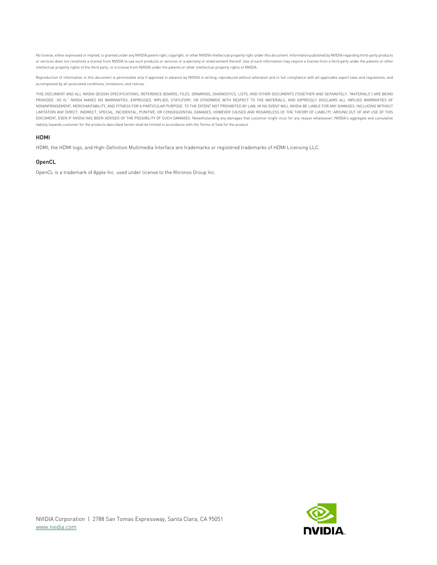No license, either expressed or implied, is granted under any NVIDIA patent right, copyright, or other NVIDIA intellectual property right under this document. Information published by NVIDIA regarding third-party products or services does not constitute a license from NVIDIA to use such products or services or a warranty or endorsement thereof. Use of such information may require a license from a third party under the patents or other intellectual property rights of the third party, or a license from NVIDIA under the patents or other intellectual property rights of NVIDIA.

Reproduction of information in this document is permissible only if approved in advance by NVIDIA in writing, reproduced without alteration and in full compliance with all applicable export laws and regulations, and accompanied by all associated conditions, limitations, and notices.

THIS DOCUMENT AND ALL NVIDIA DESIGN SPECIFICATIONS, REFERENCE BOARDS, FILES, DRAWINGS, DIAGNOSTICS, LISTS, AND OTHER DOCUMENTS (TOGETHER AND SEPARATELY, "MATERIALS") ARE BEING PROVIDED "AS IS." NVIDIA MAKES NO WARRANTIES, EXPRESSED, IMPLIED, STATUTORY, OR OTHERWISE WITH RESPECT TO THE MATERIALS, AND EXPRESSLY DISCLAIMS ALL IMPLIED WARRANTIES OF NONINFRINGEMENT, MERCHANTABILITY, AND FITNESS FOR A PARTICULAR PURPOSE. TO THE EXTENT NOT PROHIBITED BY LAW, IN NO EVENT WILL NVIDIA BE LIABLE FOR ANY DAMAGES, INCLUDING WITHOUT LIMITATION ANY DIRECT, INDIRECT, SPECIAL, INCIDENTAL, PUNITIVE, OR CONSEQUENTIAL DAMAGES, HOWEVER CAUSED AND REGARDLESS OF THE THEORY OF LIABILITY, ARISING OUT OF ANY USE OF THIS DOCUMENT, EVEN IF NVIDIA HAS BEEN ADVISED OF THE POSSIBILITY OF SUCH DAMAGES. Notwithstanding any damages that customer might incur for any reason whatsoever, NVIDIA's aggregate and cumulative liability towards customer for the products described herein shall be limited in accordance with the Terms of Sale for the product.

### HDMI

HDMI, the HDMI logo, and High-Definition Multimedia Interface are trademarks or registered trademarks of HDMI Licensing LLC.

### OpenCL

OpenCL is a trademark of Apple Inc. used under license to the Khronos Group Inc.